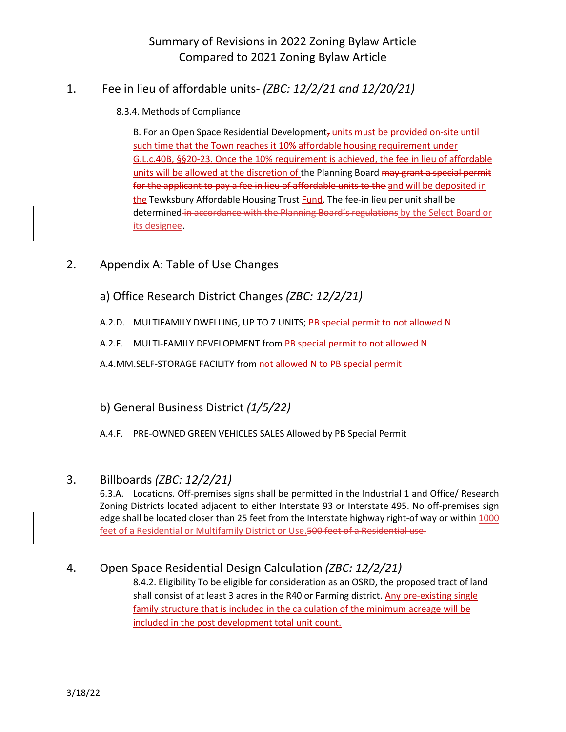## 1. Fee in lieu of affordable units- *(ZBC: 12/2/21 and 12/20/21)*

### 8.3.4. Methods of Compliance

B. For an Open Space Residential Development, units must be provided on-site until such time that the Town reaches it 10% affordable housing requirement under G.L.c.40B, §§20-23. Once the 10% requirement is achieved, the fee in lieu of affordable units will be allowed at the discretion of the Planning Board may grant a special permit for the applicant to pay a fee in lieu of affordable units to the and will be deposited in the Tewksbury Affordable Housing Trust Fund. The fee-in lieu per unit shall be determined in accordance with the Planning Board's regulations by the Select Board or its designee.

- 2. Appendix A: Table of Use Changes
	- a) Office Research District Changes *(ZBC: 12/2/21)*
	- A.2.D. MULTIFAMILY DWELLING, UP TO 7 UNITS; PB special permit to not allowed N
	- A.2.F. MULTI-FAMILY DEVELOPMENT from PB special permit to not allowed N

A.4.MM.SELF-STORAGE FACILITY from not allowed N to PB special permit

### b) General Business District *(1/5/22)*

A.4.F. PRE-OWNED GREEN VEHICLES SALES Allowed by PB Special Permit

### 3. Billboards *(ZBC: 12/2/21)*

6.3.A. Locations. Off-premises signs shall be permitted in the Industrial 1 and Office/ Research Zoning Districts located adjacent to either Interstate 93 or Interstate 495. No off-premises sign edge shall be located closer than 25 feet from the Interstate highway right-of way or within 1000 feet of a Residential or Multifamily District or Use.500 feet of a Residential use.

### 4. Open Space Residential Design Calculation *(ZBC: 12/2/21)*

8.4.2. Eligibility To be eligible for consideration as an OSRD, the proposed tract of land shall consist of at least 3 acres in the R40 or Farming district. Any pre-existing single family structure that is included in the calculation of the minimum acreage will be included in the post development total unit count.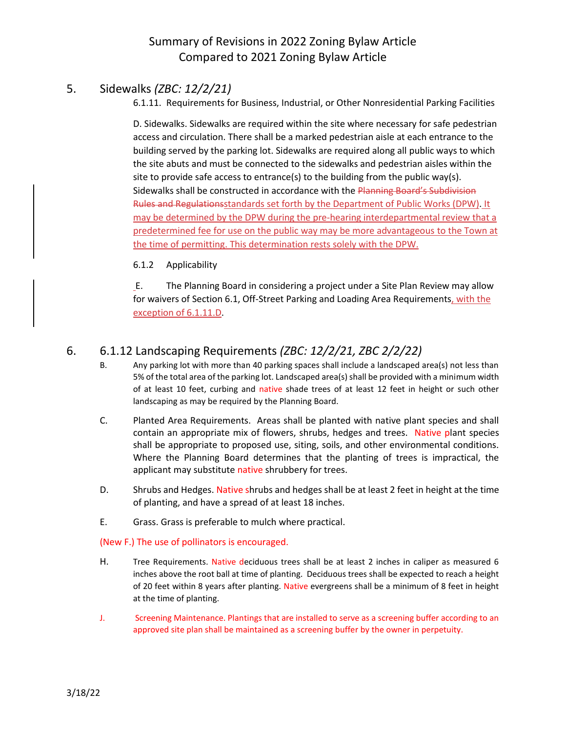### 5. Sidewalks *(ZBC: 12/2/21)*

6.1.11. Requirements for Business, Industrial, or Other Nonresidential Parking Facilities

D. Sidewalks. Sidewalks are required within the site where necessary for safe pedestrian access and circulation. There shall be a marked pedestrian aisle at each entrance to the building served by the parking lot. Sidewalks are required along all public ways to which the site abuts and must be connected to the sidewalks and pedestrian aisles within the site to provide safe access to entrance(s) to the building from the public way(s). Sidewalks shall be constructed in accordance with the Planning Board's Subdivision Rules and Regulationsstandards set forth by the Department of Public Works (DPW). It may be determined by the DPW during the pre-hearing interdepartmental review that a predetermined fee for use on the public way may be more advantageous to the Town at the time of permitting. This determination rests solely with the DPW.

#### 6.1.2 Applicability

E. The Planning Board in considering a project under a Site Plan Review may allow for waivers of Section 6.1, Off-Street Parking and Loading Area Requirements, with the exception of 6.1.11.D.

## 6. 6.1.12 Landscaping Requirements *(ZBC: 12/2/21, ZBC 2/2/22)*

- B. Any parking lot with more than 40 parking spaces shall include a landscaped area(s) not less than 5% of the total area of the parking lot. Landscaped area(s) shall be provided with a minimum width of at least 10 feet, curbing and native shade trees of at least 12 feet in height or such other landscaping as may be required by the Planning Board.
- C. Planted Area Requirements. Areas shall be planted with native plant species and shall contain an appropriate mix of flowers, shrubs, hedges and trees. Native plant species shall be appropriate to proposed use, siting, soils, and other environmental conditions. Where the Planning Board determines that the planting of trees is impractical, the applicant may substitute native shrubbery for trees.
- D. Shrubs and Hedges. Native shrubs and hedges shall be at least 2 feet in height at the time of planting, and have a spread of at least 18 inches.
- E. Grass. Grass is preferable to mulch where practical.

#### (New F.) The use of pollinators is encouraged.

- H. Tree Requirements. Native deciduous trees shall be at least 2 inches in caliper as measured 6 inches above the root ball at time of planting. Deciduous trees shall be expected to reach a height of 20 feet within 8 years after planting. Native evergreens shall be a minimum of 8 feet in height at the time of planting.
- J. Screening Maintenance. Plantings that are installed to serve as a screening buffer according to an approved site plan shall be maintained as a screening buffer by the owner in perpetuity.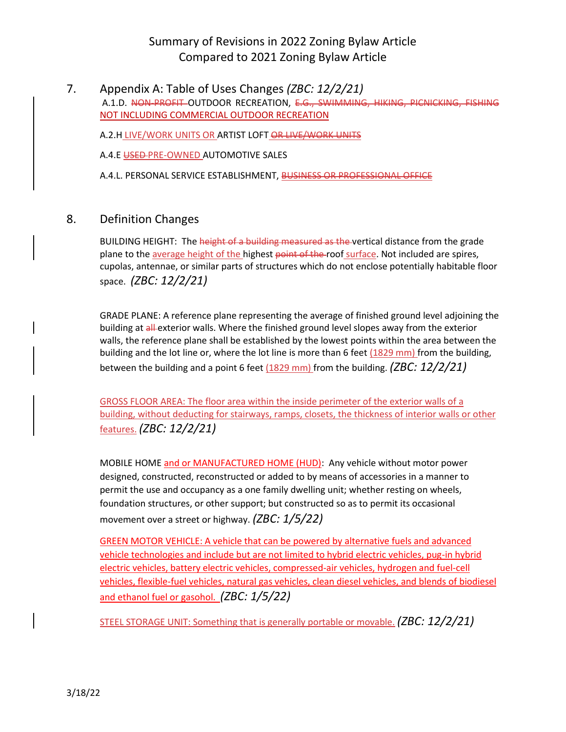7. Appendix A: Table of Uses Changes *(ZBC: 12/2/21)* A.1.D. NON-PROFIT OUTDOOR RECREATION, E.G., SWIMMING, HIKING, PICNICKING, FISHING NOT INCLUDING COMMERCIAL OUTDOOR RECREATION

A.2.H LIVE/WORK UNITS OR ARTIST LOFT OR LIVE/WORK UNITS

A.4.E USED PRE-OWNED AUTOMOTIVE SALES

A.4.L. PERSONAL SERVICE ESTABLISHMENT, BUSINESS OR PROFESSIONAL OFFICE

### 8. Definition Changes

BUILDING HEIGHT: The height of a building measured as the vertical distance from the grade plane to the average height of the highest point of the roof surface. Not included are spires, cupolas, antennae, or similar parts of structures which do not enclose potentially habitable floor space. *(ZBC: 12/2/21)*

GRADE PLANE: A reference plane representing the average of finished ground level adjoining the building at all exterior walls. Where the finished ground level slopes away from the exterior walls, the reference plane shall be established by the lowest points within the area between the building and the lot line or, where the lot line is more than 6 feet  $(1829 \text{ mm})$  from the building, between the building and a point 6 feet (1829 mm) from the building. *(ZBC: 12/2/21)*

GROSS FLOOR AREA: The floor area within the inside perimeter of the exterior walls of a building, without deducting for stairways, ramps, closets, the thickness of interior walls or other features. *(ZBC: 12/2/21)*

MOBILE HOME and or MANUFACTURED HOME (HUD): Any vehicle without motor power designed, constructed, reconstructed or added to by means of accessories in a manner to permit the use and occupancy as a one family dwelling unit; whether resting on wheels, foundation structures, or other support; but constructed so as to permit its occasional movement over a street or highway. *(ZBC: 1/5/22)*

GREEN MOTOR VEHICLE: A vehicle that can be powered by alternative fuels and advanced vehicle technologies and include but are not limited to hybrid electric vehicles, pug-in hybrid electric vehicles, battery electric vehicles, compressed-air vehicles, hydrogen and fuel-cell vehicles, flexible-fuel vehicles, natural gas vehicles, clean diesel vehicles, and blends of biodiesel and ethanol fuel or gasohol. *(ZBC: 1/5/22)*

STEEL STORAGE UNIT: Something that is generally portable or movable. *(ZBC: 12/2/21)*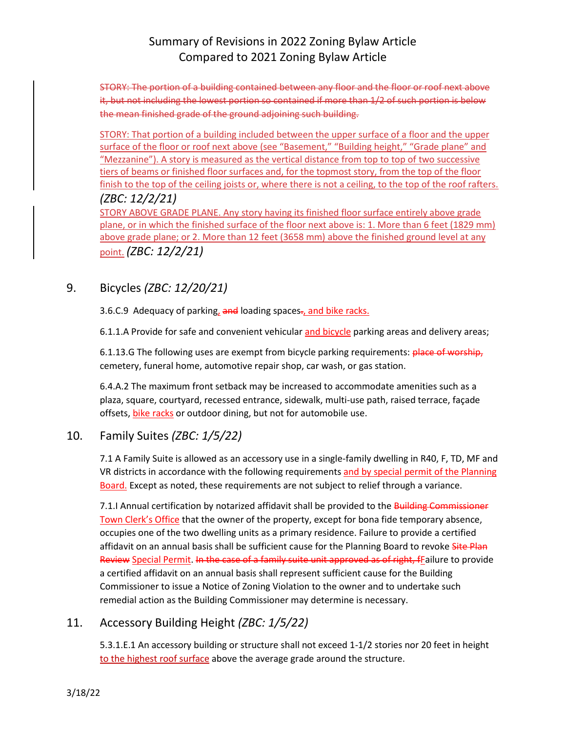STORY: The portion of a building contained between any floor and the floor or roof next above it, but not including the lowest portion so contained if more than 1/2 of such portion is below the mean finished grade of the ground adjoining such building.

STORY: That portion of a building included between the upper surface of a floor and the upper surface of the floor or roof next above (see "Basement," "Building height," "Grade plane" and "Mezzanine"). A story is measured as the vertical distance from top to top of two successive tiers of beams or finished floor surfaces and, for the topmost story, from the top of the floor finish to the top of the ceiling joists or, where there is not a ceiling, to the top of the roof rafters. *(ZBC: 12/2/21)*

STORY ABOVE GRADE PLANE. Any story having its finished floor surface entirely above grade plane, or in which the finished surface of the floor next above is: 1. More than 6 feet (1829 mm) above grade plane; or 2. More than 12 feet (3658 mm) above the finished ground level at any point. *(ZBC: 12/2/21)*

## 9. Bicycles *(ZBC: 12/20/21)*

3.6.C.9 Adequacy of parking, and loading spaces-, and bike racks.

6.1.1.A Provide for safe and convenient vehicular and bicycle parking areas and delivery areas;

6.1.13.G The following uses are exempt from bicycle parking requirements: place of worship, cemetery, funeral home, automotive repair shop, car wash, or gas station.

6.4.A.2 The maximum front setback may be increased to accommodate amenities such as a plaza, square, courtyard, recessed entrance, sidewalk, multi-use path, raised terrace, façade offsets, bike racks or outdoor dining, but not for automobile use.

## 10. Family Suites *(ZBC: 1/5/22)*

7.1 A Family Suite is allowed as an accessory use in a single-family dwelling in R40, F, TD, MF and VR districts in accordance with the following requirements and by special permit of the Planning Board. Except as noted, these requirements are not subject to relief through a variance.

7.1.I Annual certification by notarized affidavit shall be provided to the Building Commissioner Town Clerk's Office that the owner of the property, except for bona fide temporary absence, occupies one of the two dwelling units as a primary residence. Failure to provide a certified affidavit on an annual basis shall be sufficient cause for the Planning Board to revoke Site Plan Review Special Permit. In the case of a family suite unit approved as of right, fFailure to provide a certified affidavit on an annual basis shall represent sufficient cause for the Building Commissioner to issue a Notice of Zoning Violation to the owner and to undertake such remedial action as the Building Commissioner may determine is necessary.

### 11. Accessory Building Height *(ZBC: 1/5/22)*

5.3.1.E.1 An accessory building or structure shall not exceed 1-1/2 stories nor 20 feet in height to the highest roof surface above the average grade around the structure.